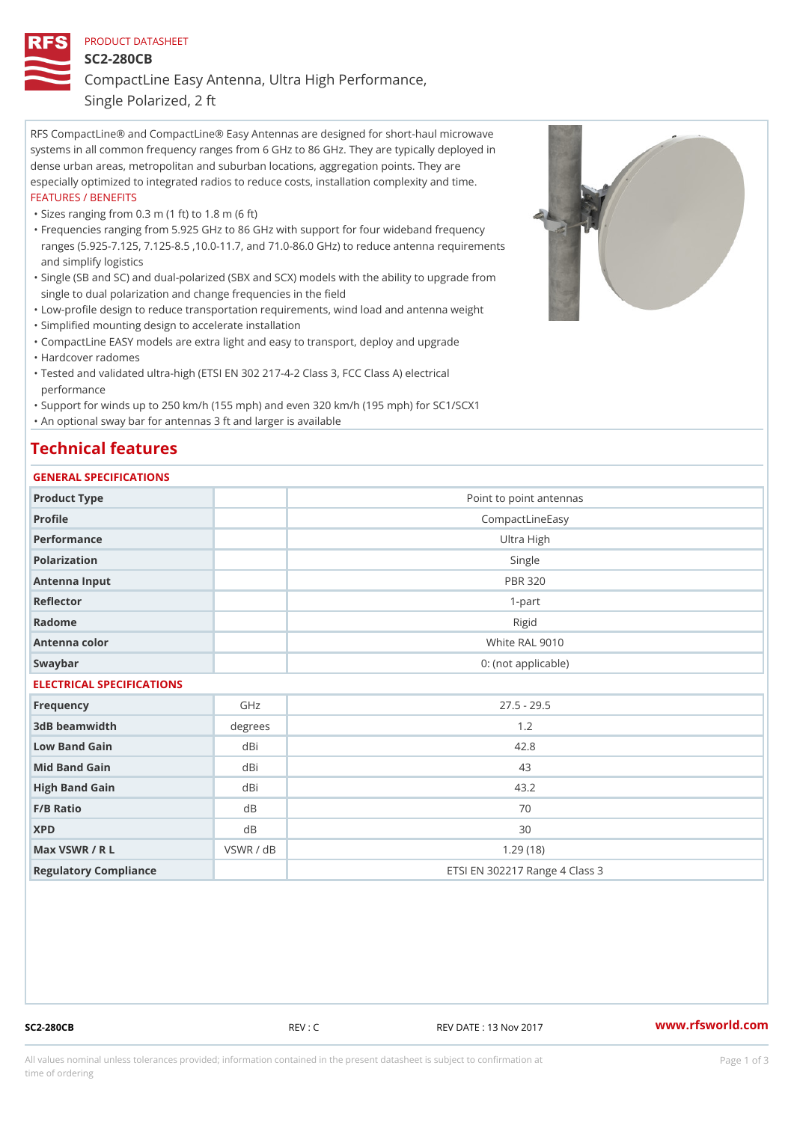## PRODUCT DATASHEET

SC2-280CB

CompactLine Easy Antenna, Ultra High Performance,

Single Polarized, 2 ft

RFS CompactLine® and CompactLine® Easy Antennas are designed for short-haul microwave systems in all common frequency ranges from 6 GHz to 86 GHz. They are typically deployed in dense urban areas, metropolitan and suburban locations, aggregation points. They are especially optimized to integrated radios to reduce costs, installation complexity and time. FEATURES / BENEFITS

"Sizes ranging from 0.3 m (1 ft) to 1.8 m (6 ft)

- Frequencies ranging from 5.925 GHz to 86 GHz with support for four wideband frequency " ranges (5.925-7.125, 7.125-8.5 ,10.0-11.7, and 71.0-86.0 GHz) to reduce antenna requirements and simplify logistics
- Single (SB and SC) and dual-polarized (SBX and SCX) models with the ability to upgrade from " single to dual polarization and change frequencies in the field
- "Low-profile design to reduce transportation requirements, wind load and antenna weight
- "Simplified mounting design to accelerate installation

 "CompactLine EASY models are extra light and easy to transport, deploy and upgrade "Hardcover radomes

Tested and validated ultra-high (ETSI EN 302 217-4-2 Class 3, FCC Class A) electrical " performance

 "Support for winds up to 250 km/h (155 mph) and even 320 km/h (195 mph) for SC1/SCX1 "An optional sway bar for antennas 3 ft and larger is available

# Technical features

## GENERAL SPECIFICATIONS

| OLIVLINAL OI LOII IOA I IONO |                 |                                |  |  |
|------------------------------|-----------------|--------------------------------|--|--|
| Product Type                 |                 | Point to point antennas        |  |  |
| Profile                      | CompactLineEasy |                                |  |  |
| Performance                  | Ultra High      |                                |  |  |
| Polarization                 | Single          |                                |  |  |
| Antenna Input                | <b>PBR 320</b>  |                                |  |  |
| Reflector                    |                 | $1-part$                       |  |  |
| Radome                       |                 | Rigid                          |  |  |
| Antenna color                |                 | White RAL 9010                 |  |  |
| Swaybar                      |                 | 0: (not applicable)            |  |  |
| ELECTRICAL SPECIFICATIONS    |                 |                                |  |  |
| Frequency                    | GHz             | $27.5 - 29.5$                  |  |  |
| 3dB beamwidth                | degrees         | 1.2                            |  |  |
| Low Band Gain                | dBi             | 42.8                           |  |  |
| Mid Band Gain                | dBi             | 43                             |  |  |
| High Band Gain               | dBi             | 43.2                           |  |  |
| F/B Ratio                    | $d$ B           | 70                             |  |  |
| <b>XPD</b>                   | d B             | 30                             |  |  |
| Max VSWR / R L               | VSWR / dB       | 1.29(18)                       |  |  |
| Regulatory Compliance        |                 | ETSI EN 302217 Range 4 Class 3 |  |  |

SC2-280CB REV : C REV DATE : 13 Nov 2017 [www.](https://www.rfsworld.com)rfsworld.com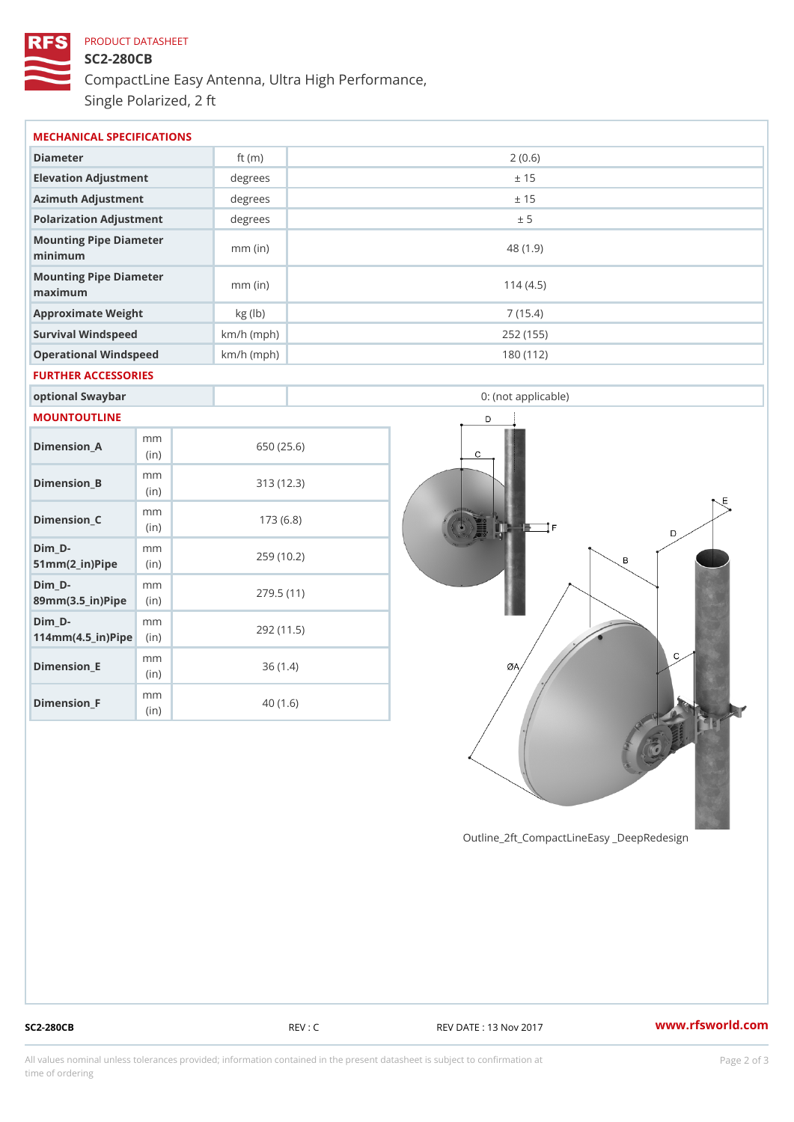# PRODUCT DATASHEET SC2-280CB CompactLine Easy Antenna, Ultra High Performance, Single Polarized, 2 ft

| MECHANICAL SPECIFICATIONS                               |             |              |                     |  |  |
|---------------------------------------------------------|-------------|--------------|---------------------|--|--|
| Diameter                                                |             | ft $(m)$     | 2(0.6)              |  |  |
| Elevation Adjustment                                    |             | degrees      | ± 15                |  |  |
| Azimuth Adjustment                                      |             | degrees      | ± 15                |  |  |
| Polarization Adjustment                                 |             | degrees      | ± 5                 |  |  |
| Mounting Pipe Diameter<br>minimum                       |             | $mm$ (in)    | 48 (1.9)            |  |  |
| Mounting Pipe Diameter<br>$m$ a x i $m$ u $m$           |             | $mm$ (in)    | 114(4.5)            |  |  |
| Approximate Weight                                      |             | kg (lb)      | 7(15.4)             |  |  |
| Survival Windspeed                                      |             | $km/h$ (mph) | 252 (155)           |  |  |
| Operational Windspeed                                   |             | $km/h$ (mph) | 180 (112)           |  |  |
| FURTHER ACCESSORIES                                     |             |              |                     |  |  |
| optional Swaybar                                        |             |              | 0: (not applicable) |  |  |
| MOUNTOUTLINE                                            |             |              |                     |  |  |
| $Dimension_A$                                           | m m<br>(in) |              | 650 (25.6)          |  |  |
| Dimension_B                                             | m m<br>(in) |              | 313(12.3)           |  |  |
| $Dimension_C$                                           | m m<br>(in) |              | 173(6.8)            |  |  |
| $Dim_D - D -$<br>$51mm(2_in)Pip@in$                     | m m         |              | 259 (10.2)          |  |  |
| $Dim_D - D -$<br>89mm (3.5_in) Pi(pine)                 | m m         |              | 279.5(11)           |  |  |
| $Dim_D - D -$<br>$114$ m m $(4.5$ _ ir $)$ $R$ ii p $e$ | m m         |              | 292 (11.5)          |  |  |
| $Dimension$ _ $E$                                       | m m<br>(in) |              | 36(1.4)             |  |  |
| $Dimension_F$                                           | m m         |              | 40(1.6)             |  |  |

Outline\_2ft\_CompactLineEasy \_DeepRedesi

(in)

SC2-280CB REV : C REV DATE : 13 Nov 2017 WWW.rfsworld.com